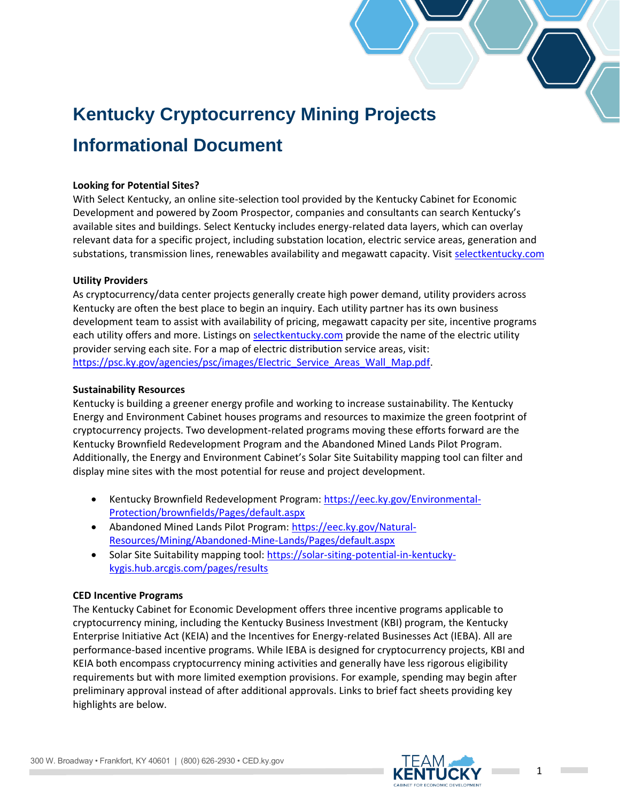# **Kentucky Cryptocurrency Mining Projects Informational Document**

## **Looking for Potential Sites?**

With Select Kentucky, an online site-selection tool provided by the Kentucky Cabinet for Economic Development and powered by Zoom Prospector, companies and consultants can search Kentucky's available sites and buildings. Select Kentucky includes energy-related data layers, which can overlay relevant data for a specific project, including substation location, electric service areas, generation and substations, transmission lines, renewables availability and megawatt capacity. Visit [selectkentucky.com](http://selectkentucky.com/)

# **Utility Providers**

As cryptocurrency/data center projects generally create high power demand, utility providers across Kentucky are often the best place to begin an inquiry. Each utility partner has its own business development team to assist with availability of pricing, megawatt capacity per site, incentive programs each utility offers and more. Listings on [selectkentucky.com](file:///C:/Users/kristina.thompson/AppData/Local/Microsoft/Windows/INetCache/Content.Outlook/93LJZUNU/selectkentucky.com) provide the name of the electric utility provider serving each site. For a map of electric distribution service areas, visit: [https://psc.ky.gov/agencies/psc/images/Electric\\_Service\\_Areas\\_Wall\\_Map.pdf.](https://psc.ky.gov/agencies/psc/images/Electric_Service_Areas_Wall_Map.pdf)

## **Sustainability Resources**

Kentucky is building a greener energy profile and working to increase sustainability. The Kentucky Energy and Environment Cabinet houses programs and resources to maximize the green footprint of cryptocurrency projects. Two development-related programs moving these efforts forward are the Kentucky Brownfield Redevelopment Program and the Abandoned Mined Lands Pilot Program. Additionally, the Energy and Environment Cabinet's Solar Site Suitability mapping tool can filter and display mine sites with the most potential for reuse and project development.

- Kentucky Brownfield Redevelopment Program: [https://eec.ky.gov/Environmental-](https://eec.ky.gov/Environmental-Protection/brownfields/Pages/default.aspx)[Protection/brownfields/Pages/default.aspx](https://eec.ky.gov/Environmental-Protection/brownfields/Pages/default.aspx)
- Abandoned Mined Lands Pilot Program: [https://eec.ky.gov/Natural-](https://eec.ky.gov/Natural-Resources/Mining/Abandoned-Mine-Lands/Pages/default.aspx)[Resources/Mining/Abandoned-Mine-Lands/Pages/default.aspx](https://eec.ky.gov/Natural-Resources/Mining/Abandoned-Mine-Lands/Pages/default.aspx)
- Solar Site Suitability mapping tool: [https://solar-siting-potential-in-kentucky](https://solar-siting-potential-in-kentucky-kygis.hub.arcgis.com/pages/results)[kygis.hub.arcgis.com/pages/results](https://solar-siting-potential-in-kentucky-kygis.hub.arcgis.com/pages/results)

## **CED Incentive Programs**

The Kentucky Cabinet for Economic Development offers three incentive programs applicable to cryptocurrency mining, including the Kentucky Business Investment (KBI) program, the Kentucky Enterprise Initiative Act (KEIA) and the Incentives for Energy-related Businesses Act (IEBA). All are performance-based incentive programs. While IEBA is designed for cryptocurrency projects, KBI and KEIA both encompass cryptocurrency mining activities and generally have less rigorous eligibility requirements but with more limited exemption provisions. For example, spending may begin after preliminary approval instead of after additional approvals. Links to brief fact sheets providing key highlights are below.

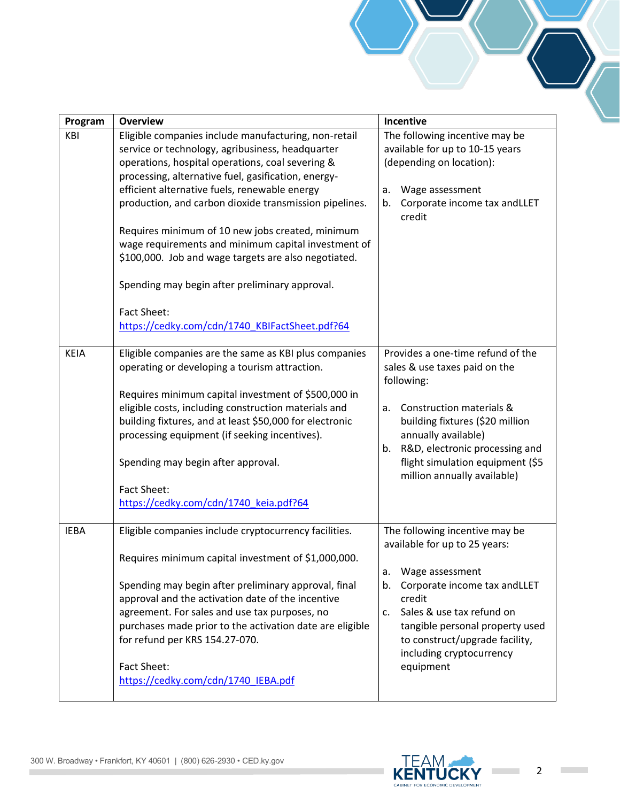| Program     | <b>Overview</b>                                                                                                                                                                                                                                                                                                                                                                                                                                                                                                                                                                                                             | Incentive                                                                                                                                                                                                                                                                              |
|-------------|-----------------------------------------------------------------------------------------------------------------------------------------------------------------------------------------------------------------------------------------------------------------------------------------------------------------------------------------------------------------------------------------------------------------------------------------------------------------------------------------------------------------------------------------------------------------------------------------------------------------------------|----------------------------------------------------------------------------------------------------------------------------------------------------------------------------------------------------------------------------------------------------------------------------------------|
| KBI         | Eligible companies include manufacturing, non-retail<br>service or technology, agribusiness, headquarter<br>operations, hospital operations, coal severing &<br>processing, alternative fuel, gasification, energy-<br>efficient alternative fuels, renewable energy<br>production, and carbon dioxide transmission pipelines.<br>Requires minimum of 10 new jobs created, minimum<br>wage requirements and minimum capital investment of<br>\$100,000. Job and wage targets are also negotiated.<br>Spending may begin after preliminary approval.<br><b>Fact Sheet:</b><br>https://cedky.com/cdn/1740 KBIFactSheet.pdf?64 | The following incentive may be<br>available for up to 10-15 years<br>(depending on location):<br>Wage assessment<br>a.<br>Corporate income tax andLLET<br>b.<br>credit                                                                                                                 |
| <b>KEIA</b> | Eligible companies are the same as KBI plus companies<br>operating or developing a tourism attraction.<br>Requires minimum capital investment of \$500,000 in<br>eligible costs, including construction materials and<br>building fixtures, and at least \$50,000 for electronic<br>processing equipment (if seeking incentives).<br>Spending may begin after approval.<br>Fact Sheet:<br>https://cedky.com/cdn/1740_keia.pdf?64                                                                                                                                                                                            | Provides a one-time refund of the<br>sales & use taxes paid on the<br>following:<br>Construction materials &<br>a.<br>building fixtures (\$20 million<br>annually available)<br>b. R&D, electronic processing and<br>flight simulation equipment (\$5<br>million annually available)   |
| <b>IEBA</b> | Eligible companies include cryptocurrency facilities.<br>Requires minimum capital investment of \$1,000,000.<br>Spending may begin after preliminary approval, final<br>approval and the activation date of the incentive<br>agreement. For sales and use tax purposes, no<br>purchases made prior to the activation date are eligible<br>for refund per KRS 154.27-070.<br><b>Fact Sheet:</b><br>https://cedky.com/cdn/1740_IEBA.pdf                                                                                                                                                                                       | The following incentive may be<br>available for up to 25 years:<br>Wage assessment<br>a.<br>Corporate income tax andLLET<br>b.<br>credit<br>c. Sales & use tax refund on<br>tangible personal property used<br>to construct/upgrade facility,<br>including cryptocurrency<br>equipment |



 $\mathcal{L}^{\mathcal{L}}$ 

 $\mathcal{L}^{\text{max}}_{\text{max}}$ 

 $\mathcal{L}^{\text{max}}_{\text{max}}$